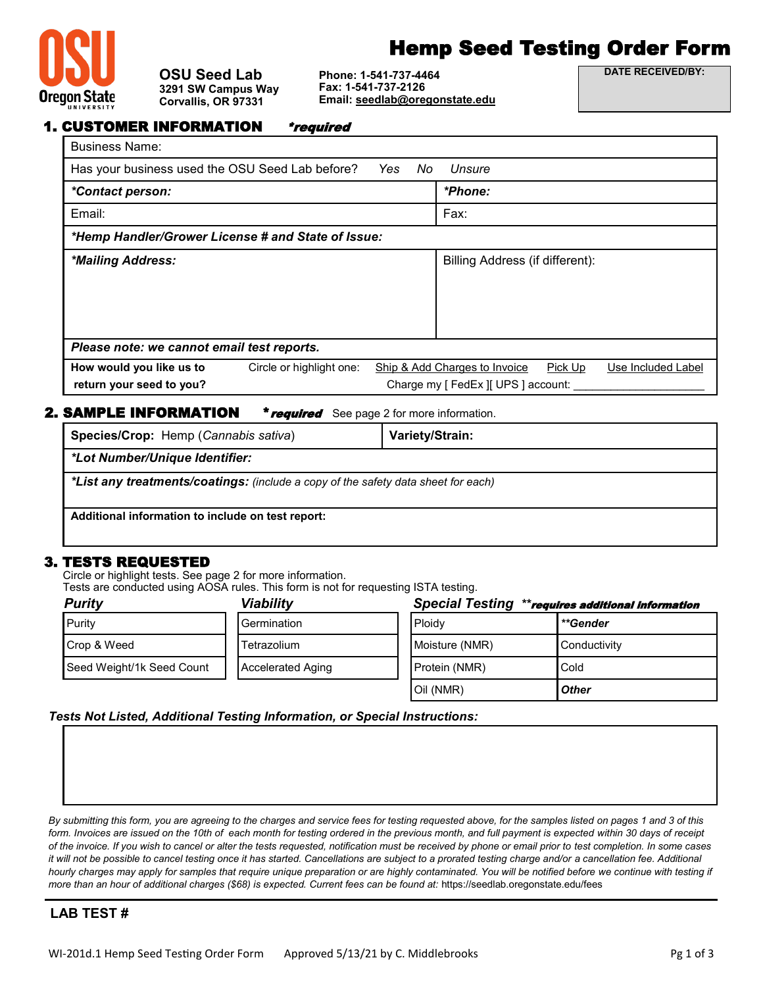

### **OSU Seed Lab 3291 SW Campus Way Corvallis, OR 97331**

# Hemp Seed Testing Order Form

**Phone: 1-541-737-4464 Fax: 1-541-737-2126 Email: [seedlab@oregonstate.edu](mailto:seedlab@oregonstate.edu)** **DATE RECEIVED/BY:**

|  | <b>1. CUSTOMER INFORMATION</b> | <i>*required</i> |
|--|--------------------------------|------------------|
|--|--------------------------------|------------------|

| <b>Business Name:</b>                              |                                     |            |                                 |         |                    |
|----------------------------------------------------|-------------------------------------|------------|---------------------------------|---------|--------------------|
| Has your business used the OSU Seed Lab before?    |                                     | Yes<br>No. | Unsure                          |         |                    |
| <i>*Contact person:</i>                            |                                     |            | *Phone:                         |         |                    |
| Email:                                             |                                     |            | Fax:                            |         |                    |
| *Hemp Handler/Grower License # and State of Issue: |                                     |            |                                 |         |                    |
| *Mailing Address:                                  |                                     |            | Billing Address (if different): |         |                    |
|                                                    |                                     |            |                                 |         |                    |
|                                                    |                                     |            |                                 |         |                    |
|                                                    |                                     |            |                                 |         |                    |
| Please note: we cannot email test reports.         |                                     |            |                                 |         |                    |
| How would you like us to                           | Circle or highlight one:            |            | Ship & Add Charges to Invoice   | Pick Up | Use Included Label |
| return your seed to you?                           | Charge my [ FedEx ][ UPS ] account: |            |                                 |         |                    |

## **AMPLE INFORMATION** \* **required** See page 2 for more information.

| AMI LE INI VIWATIYA<br><b>Fourney</b> $\cup$ $\in$ page 2 for more implification. |                 |  |  |  |
|-----------------------------------------------------------------------------------|-----------------|--|--|--|
| Species/Crop: Hemp (Cannabis sativa)                                              | Variety/Strain: |  |  |  |
| *Lot Number/Unique Identifier:                                                    |                 |  |  |  |
| *List any treatments/coatings: (include a copy of the safety data sheet for each) |                 |  |  |  |
| Additional information to include on test report:                                 |                 |  |  |  |

# 3. TESTS REQUESTED

Circle or highlight tests. See page 2 for more information.

Tests are conducted using AOSA rules. This form is not for requesting ISTA testing.

| <b>Purity</b>             | Viability                | <b>Special Testing</b><br>**requires additional information |              |
|---------------------------|--------------------------|-------------------------------------------------------------|--------------|
| Purity                    | Germination              | <b>Ploidv</b>                                               | **Gender     |
| Crop & Weed               | Tetrazolium              | Moisture (NMR)                                              | Conductivity |
| Seed Weight/1k Seed Count | <b>Accelerated Aging</b> | Protein (NMR)                                               | Cold         |
|                           |                          | Oil (NMR)                                                   | <b>Other</b> |

## *Tests Not Listed, Additional Testing Information, or Special Instructions:*

*By submitting this form, you are agreeing to the charges and service fees for testing requested above, for the samples listed on pages 1 and 3 of this*  form. Invoices are issued on the 10th of each month for testing ordered in the previous month, and full payment is expected within 30 days of receipt *of the invoice. If you wish to cancel or alter the tests requested, notification must be received by phone or email prior to test completion. In some cases it will not be possible to cancel testing once it has started. Cancellations are subject to a prorated testing charge and/or a cancellation fee. Additional* hourly charges may apply for samples that require unique preparation or are highly contaminated. You will be notified before we continue with testing if *more than an hour of additional charges (\$68) is expected. Current fees can be found at:* https://seedlab.oregonstate.edu/fees

# **LAB TEST #**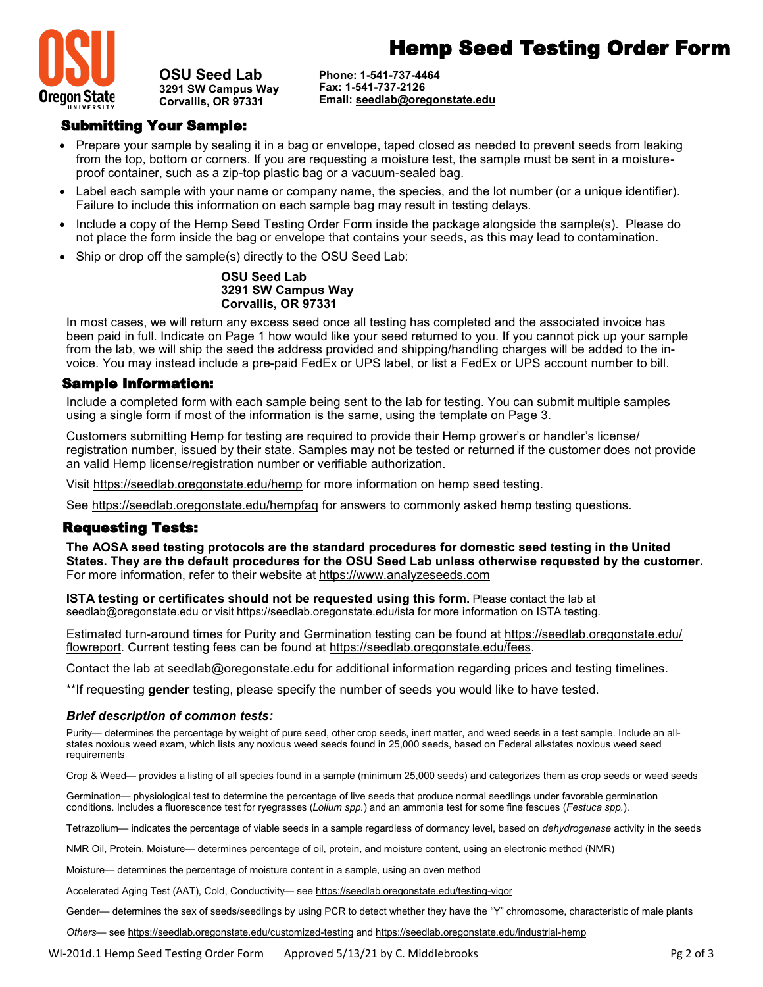



**OSU Seed Lab 3291 SW Campus Way Corvallis, OR 97331**

**Phone: 1-541-737-4464 Fax: 1-541-737-2126 Email: [seedlab@oregonstate.edu](mailto:seedlab@oregonstate.edu)**

# Submitting Your Sample:

- Prepare your sample by sealing it in a bag or envelope, taped closed as needed to prevent seeds from leaking from the top, bottom or corners. If you are requesting a moisture test, the sample must be sent in a moistureproof container, such as a zip-top plastic bag or a vacuum-sealed bag.
- Label each sample with your name or company name, the species, and the lot number (or a unique identifier). Failure to include this information on each sample bag may result in testing delays.
- Include a copy of the Hemp Seed Testing Order Form inside the package alongside the sample(s). Please do not place the form inside the bag or envelope that contains your seeds, as this may lead to contamination.
- Ship or drop off the sample(s) directly to the OSU Seed Lab:

#### **OSU Seed Lab 3291 SW Campus Way Corvallis, OR 97331**

In most cases, we will return any excess seed once all testing has completed and the associated invoice has been paid in full. Indicate on Page 1 how would like your seed returned to you. If you cannot pick up your sample from the lab, we will ship the seed the address provided and shipping/handling charges will be added to the invoice. You may instead include a pre-paid FedEx or UPS label, or list a FedEx or UPS account number to bill.

#### Sample Information:

Include a completed form with each sample being sent to the lab for testing. You can submit multiple samples using a single form if most of the information is the same, using the template on Page 3.

Customers submitting Hemp for testing are required to provide their Hemp grower's or handler's license/ registration number, issued by their state. Samples may not be tested or returned if the customer does not provide an valid Hemp license/registration number or verifiable authorization.

Visit https://seedlab.oregonstate.edu/hemp for more information on hemp seed testing.

See https://seedlab.oregonstate.edu/hempfaq for answers to commonly asked hemp testing questions.

## Requesting Tests:

**The AOSA seed testing protocols are the standard procedures for domestic seed testing in the United States. They are the default procedures for the OSU Seed Lab unless otherwise requested by the customer.**  For more information, refer to their website at https://www.analyzeseeds.com

**ISTA testing or certificates should not be requested using this form.** Please contact the lab at seedlab@oregonstate.edu or visit https://seedlab.oregonstate.edu/ista for more information on ISTA testing.

Estimated turn-around times for Purity and Germination testing can be found at https://seedlab.oregonstate.edu/ flowreport. Current testing fees can be found at https://seedlab.oregonstate.edu/fees.

Contact the lab at seedlab@oregonstate.edu for additional information regarding prices and testing timelines.

\*\*If requesting **gender** testing, please specify the number of seeds you would like to have tested.

#### *Brief description of common tests:*

Purity— determines the percentage by weight of pure seed, other crop seeds, inert matter, and weed seeds in a test sample. Include an allstates noxious weed exam, which lists any noxious weed seeds found in 25,000 seeds, based on Federal all-states noxious weed seed requirements

Crop & Weed— provides a listing of all species found in a sample (minimum 25,000 seeds) and categorizes them as crop seeds or weed seeds

Germination— physiological test to determine the percentage of live seeds that produce normal seedlings under favorable germination conditions. Includes a fluorescence test for ryegrasses (*Lolium spp.*) and an ammonia test for some fine fescues (*Festuca spp.*).

Tetrazolium— indicates the percentage of viable seeds in a sample regardless of dormancy level, based on *dehydrogenase* activity in the seeds

NMR Oil, Protein, Moisture— determines percentage of oil, protein, and moisture content, using an electronic method (NMR)

Moisture— determines the percentage of moisture content in a sample, using an oven method

Accelerated Aging Test (AAT), Cold, Conductivity— see https://seedlab.oregonstate.edu/testing-vigor

Gender— determines the sex of seeds/seedlings by using PCR to detect whether they have the "Y" chromosome, characteristic of male plants

*Others*— see https://seedlab.oregonstate.edu/customized-testing and https://seedlab.oregonstate.edu/industrial-hemp